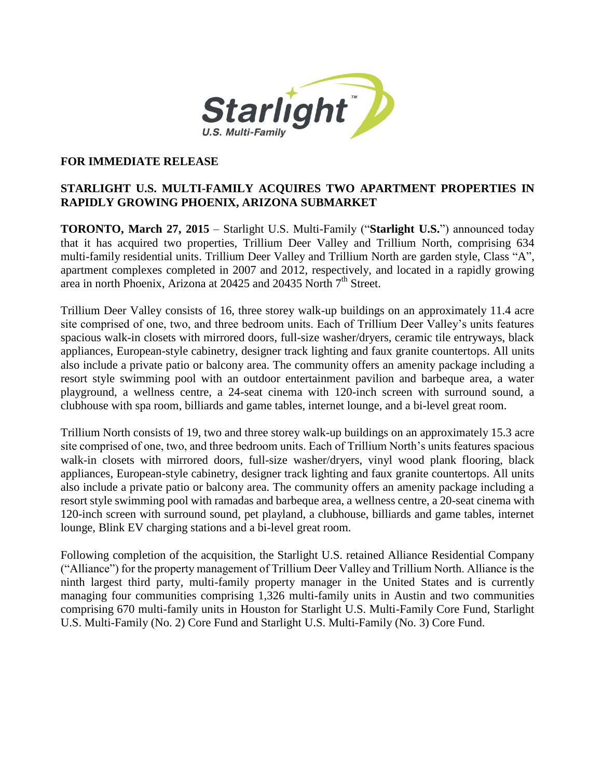

## **FOR IMMEDIATE RELEASE**

## **STARLIGHT U.S. MULTI-FAMILY ACQUIRES TWO APARTMENT PROPERTIES IN RAPIDLY GROWING PHOENIX, ARIZONA SUBMARKET**

**TORONTO, March 27, 2015** – Starlight U.S. Multi-Family ("**Starlight U.S.**") announced today that it has acquired two properties, Trillium Deer Valley and Trillium North, comprising 634 multi-family residential units. Trillium Deer Valley and Trillium North are garden style, Class "A", apartment complexes completed in 2007 and 2012, respectively, and located in a rapidly growing area in north Phoenix, Arizona at 20425 and 20435 North 7<sup>th</sup> Street.

Trillium Deer Valley consists of 16, three storey walk-up buildings on an approximately 11.4 acre site comprised of one, two, and three bedroom units. Each of Trillium Deer Valley's units features spacious walk-in closets with mirrored doors, full-size washer/dryers, ceramic tile entryways, black appliances, European-style cabinetry, designer track lighting and faux granite countertops. All units also include a private patio or balcony area. The community offers an amenity package including a resort style swimming pool with an outdoor entertainment pavilion and barbeque area, a water playground, a wellness centre, a 24-seat cinema with 120-inch screen with surround sound, a clubhouse with spa room, billiards and game tables, internet lounge, and a bi-level great room.

Trillium North consists of 19, two and three storey walk-up buildings on an approximately 15.3 acre site comprised of one, two, and three bedroom units. Each of Trillium North's units features spacious walk-in closets with mirrored doors, full-size washer/dryers, vinyl wood plank flooring, black appliances, European-style cabinetry, designer track lighting and faux granite countertops. All units also include a private patio or balcony area. The community offers an amenity package including a resort style swimming pool with ramadas and barbeque area, a wellness centre, a 20-seat cinema with 120-inch screen with surround sound, pet playland, a clubhouse, billiards and game tables, internet lounge, Blink EV charging stations and a bi-level great room.

Following completion of the acquisition, the Starlight U.S. retained Alliance Residential Company ("Alliance") for the property management of Trillium Deer Valley and Trillium North. Alliance is the ninth largest third party, multi-family property manager in the United States and is currently managing four communities comprising 1,326 multi-family units in Austin and two communities comprising 670 multi-family units in Houston for Starlight U.S. Multi-Family Core Fund, Starlight U.S. Multi-Family (No. 2) Core Fund and Starlight U.S. Multi-Family (No. 3) Core Fund.